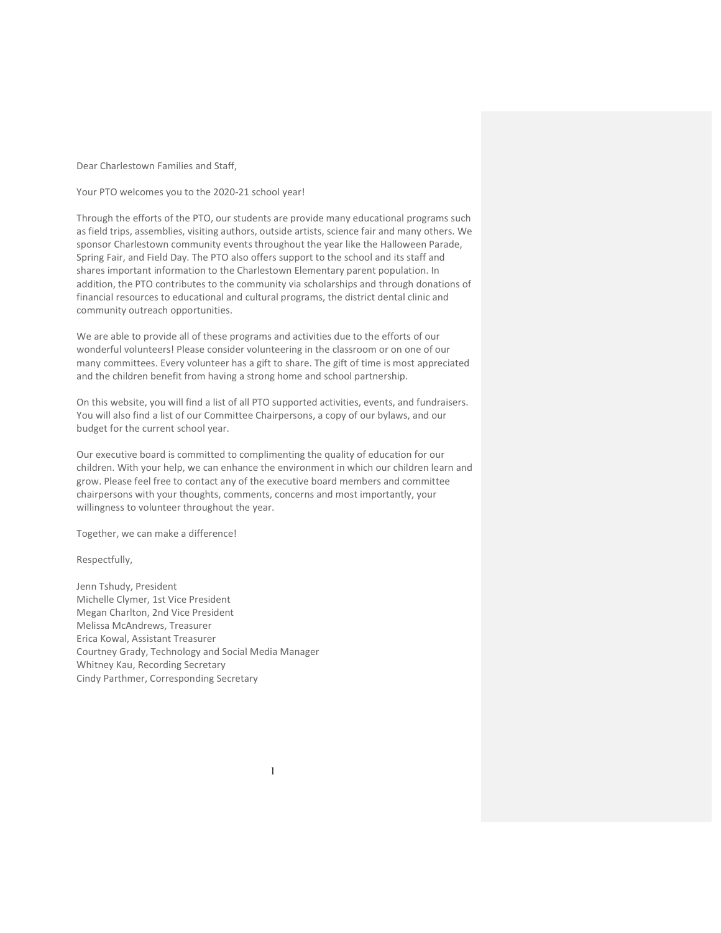Dear Charlestown Families and Staff,

Your PTO welcomes you to the 2020-21 school year!

Through the efforts of the PTO, our students are provide many educational programs such as field trips, assemblies, visiting authors, outside artists, science fair and many others. We sponsor Charlestown community events throughout the year like the Halloween Parade, Spring Fair, and Field Day. The PTO also offers support to the school and its staff and shares important information to the Charlestown Elementary parent population. In addition, the PTO contributes to the community via scholarships and through donations of financial resources to educational and cultural programs, the district dental clinic and community outreach opportunities.

We are able to provide all of these programs and activities due to the efforts of our wonderful volunteers! Please consider volunteering in the classroom or on one of our many committees. Every volunteer has a gift to share. The gift of time is most appreciated and the children benefit from having a strong home and school partnership.

On this website, you will find a list of all PTO supported activities, events, and fundraisers. You will also find a list of our Committee Chairpersons, a copy of our bylaws, and our budget for the current school year.

Our executive board is committed to complimenting the quality of education for our children. With your help, we can enhance the environment in which our children learn and grow. Please feel free to contact any of the executive board members and committee chairpersons with your thoughts, comments, concerns and most importantly, your willingness to volunteer throughout the year.

Together, we can make a difference!

Respectfully,

Jenn Tshudy, President Michelle Clymer, 1st Vice President Megan Charlton, 2nd Vice President Melissa McAndrews, Treasurer Erica Kowal, Assistant Treasurer Courtney Grady, Technology and Social Media Manager Whitney Kau, Recording Secretary Cindy Parthmer, Corresponding Secretary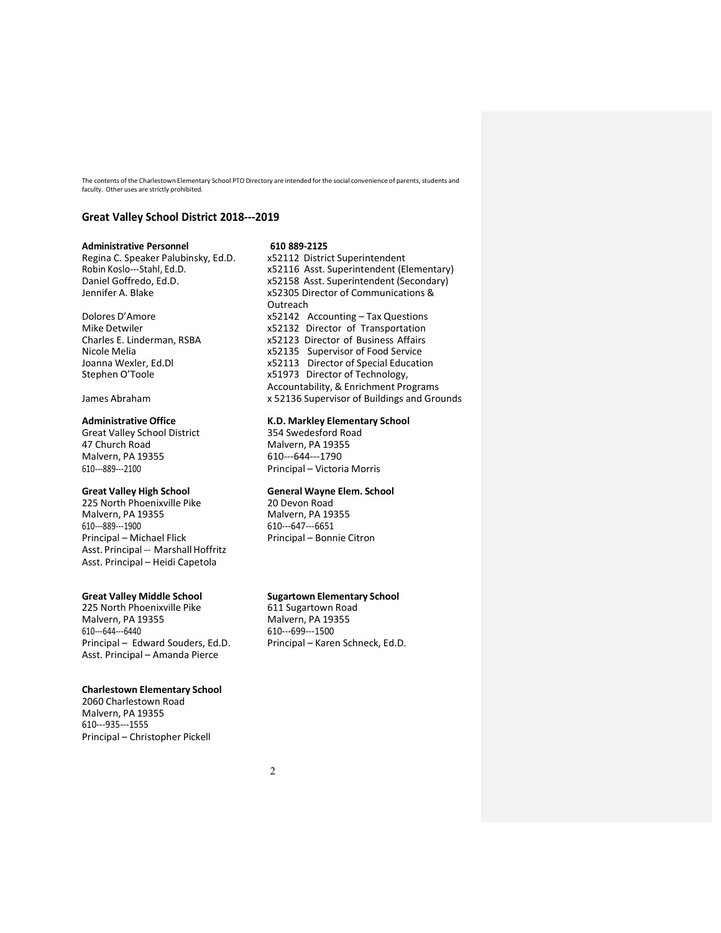The contents of the Charlestown Elementary School PTO Directory are intended for the social convenience of parents, students and faculty. Other uses are strictly prohibited.

# Great Valley School District 2018---2019

Regina C. Speaker Palubinsky, Ed.D.

Great Valley School District 47 Church Road Malvern, PA 19355 Malvern, PA 19355 610---644---1790

225 North Phoenixville Pike 20 Devon Road Malvern, PA 19355<br>610---889---1900 610---889---1900 610---647---6651 Asst. Principal --- Marshall Hoffritz Asst. Principal – Heidi Capetola

Great Valley Middle School<br>
225 North Phoenixville Pike<br>
611 Sugartown Road 225 North Phoenixville Pike<br>Malvern. PA 19355 610---644---6440 610---699---1500 Principal – Edward Souders, Ed.D. Principal – Karen Schneck, Ed.D. Asst. Principal – Amanda Pierce

#### Charlestown Elementary School

2060 Charlestown Road Malvern, PA 19355 610---935---1555 Principal – Christopher Pickell

Administrative Personnel 610 889-2125<br>
Regina C. Speaker Palubinsky, Ed.D. x52112 District Superintendent Robin Koslo---Stahl, Ed.D. x52116 Asst. Superintendent (Elementary) Daniel Goffredo, Ed.D. x52158 Asst. Superintendent (Secondary) x52305 Director of Communications & Outreach Dolores D'Amore x52142 Accounting – Tax Questions Mike Detwiler x52132 Director of Transportation<br>Charles E. Linderman, RSBA x52123 Director of Business Affairs x52123 Director of Business Affairs Nicole Melia x52135 Supervisor of Food Service Joanna Wexler, Ed.Dl x52113 Director of Special Education x51973 Director of Technology, Accountability, & Enrichment Programs James Abraham x 52136 Supervisor of Buildings and Grounds

# Administrative Office<br>
Great Valley School District

S54 Swedesford Road
School District

As 354 Swedesford Road
School District

Communistrative Office

As 354 Swedesford Road

R.D.

Markley Elementary School

Principal – Victoria Morris

# Great Valley High School General Wayne Elem. School

Principal – Bonnie Citron

Malvern, PA 19355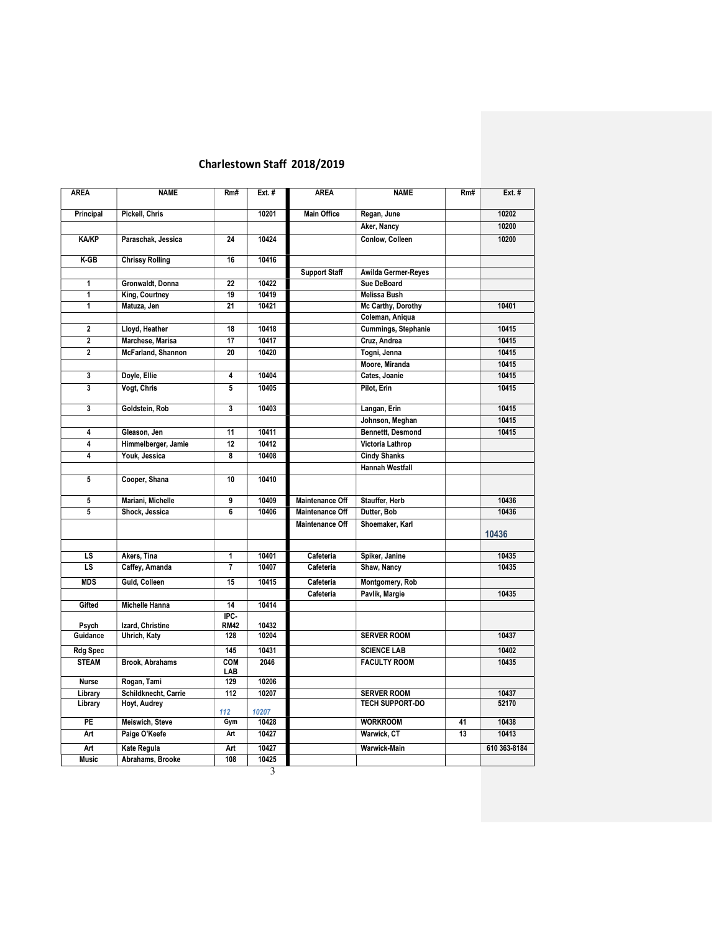# Charlestown Staff 2018/2019

| <b>AREA</b>             | <b>NAME</b>            | Rm#               | Ext. # | <b>AREA</b>            | <b>NAME</b>              | RmH             | Ext. #       |
|-------------------------|------------------------|-------------------|--------|------------------------|--------------------------|-----------------|--------------|
| Principal               | Pickell, Chris         |                   | 10201  | <b>Main Office</b>     | Regan, June              |                 | 10202        |
|                         |                        |                   |        |                        | Aker, Nancy              |                 | 10200        |
| <b>KA/KP</b>            | Paraschak, Jessica     | 24                | 10424  |                        | Conlow, Colleen          |                 | 10200        |
| $K-GB$                  | <b>Chrissy Rolling</b> | 16                | 10416  |                        |                          |                 |              |
|                         |                        |                   |        | <b>Support Staff</b>   | Awilda Germer-Reyes      |                 |              |
| 1                       | Gronwaldt, Donna       | 22                | 10422  |                        | Sue DeBoard              |                 |              |
| 1                       | King, Courtney         | 19                | 10419  |                        | <b>Melissa Bush</b>      |                 |              |
| 1                       | Matuza, Jen            | 21                | 10421  |                        | Mc Carthy, Dorothy       |                 | 10401        |
|                         |                        |                   |        |                        | Coleman, Aniqua          |                 |              |
| $\overline{\mathbf{2}}$ | Lloyd, Heather         | 18                | 10418  |                        | Cummings, Stephanie      |                 | 10415        |
| $\overline{2}$          | Marchese, Marisa       | 17                | 10417  |                        | Cruz, Andrea             |                 | 10415        |
| $\overline{2}$          | McFarland, Shannon     | $\overline{20}$   | 10420  |                        | Togni, Jenna             |                 | 10415        |
|                         |                        |                   |        |                        | Moore, Miranda           |                 | 10415        |
| 3                       | Doyle, Ellie           | 4                 | 10404  |                        | Cates, Joanie            |                 | 10415        |
| 3                       | Vogt, Chris            | 5                 | 10405  |                        | Pilot, Erin              |                 | 10415        |
| 3                       | Goldstein, Rob         | 3                 | 10403  |                        | Langan, Erin             |                 | 10415        |
|                         |                        |                   |        |                        | Johnson, Meghan          |                 | 10415        |
| 4                       | Gleason, Jen           | 11                | 10411  |                        | <b>Bennettt, Desmond</b> |                 | 10415        |
| 4                       | Himmelberger, Jamie    | 12                | 10412  |                        | Victoria Lathrop         |                 |              |
| 4                       | Youk, Jessica          | 8                 | 10408  |                        | <b>Cindy Shanks</b>      |                 |              |
|                         |                        |                   |        |                        | <b>Hannah Westfall</b>   |                 |              |
| 5                       | Cooper, Shana          | 10                | 10410  |                        |                          |                 |              |
| 5                       | Mariani, Michelle      | 9                 | 10409  | <b>Maintenance Off</b> | Stauffer, Herb           |                 | 10436        |
| 5                       | Shock, Jessica         | 6                 | 10406  | <b>Maintenance Off</b> | Dutter, Bob              |                 | 10436        |
|                         |                        |                   |        | <b>Maintenance Off</b> | Shoemaker, Karl          |                 | 10436        |
|                         |                        |                   |        |                        |                          |                 |              |
| LS                      | Akers, Tina            | $\mathbf{1}$      | 10401  | Cafeteria              | Spiker, Janine           |                 | 10435        |
| LS                      | Caffey, Amanda         | $\overline{7}$    | 10407  | Cafeteria              | Shaw, Nancy              |                 | 10435        |
| <b>MDS</b>              | Guld, Colleen          | 15                | 10415  | Cafeteria              | Montgomery, Rob          |                 |              |
|                         |                        |                   |        | Cafeteria              | Pavlik, Margie           |                 | 10435        |
| Gifted                  | <b>Michelle Hanna</b>  | 14                | 10414  |                        |                          |                 |              |
|                         |                        | IPC-              |        |                        |                          |                 |              |
| Psych                   | Izard, Christine       | <b>RM42</b>       | 10432  |                        |                          |                 |              |
| Guidance                | Uhrich, Katy           | 128               | 10204  |                        | <b>SERVER ROOM</b>       |                 | 10437        |
| <b>Rdg Spec</b>         |                        | 145               | 10431  |                        | <b>SCIENCE LAB</b>       |                 | 10402        |
| <b>STEAM</b>            | <b>Brook, Abrahams</b> | <b>COM</b><br>LAB | 2046   |                        | <b>FACULTY ROOM</b>      |                 | 10435        |
| <b>Nurse</b>            | Rogan, Tami            | 129               | 10206  |                        |                          |                 |              |
| Library                 | Schildknecht, Carrie   | 112               | 10207  |                        | <b>SERVER ROOM</b>       |                 | 10437        |
| Library                 | Hoyt, Audrey           | 112               | 10207  |                        | <b>TECH SUPPORT-DO</b>   |                 | 52170        |
| PE                      | Meiswich, Steve        | Gym               | 10428  |                        | <b>WORKROOM</b>          | 41              | 10438        |
| Art                     | Paige O'Keefe          | Art               | 10427  |                        | Warwick, CT              | $\overline{13}$ | 10413        |
| Art                     | <b>Kate Regula</b>     | Art               | 10427  |                        | Warwick-Main             |                 | 610 363-8184 |
| <b>Music</b>            | Abrahams, Brooke       | 108               | 10425  |                        |                          |                 |              |
|                         |                        |                   | 3      |                        |                          |                 |              |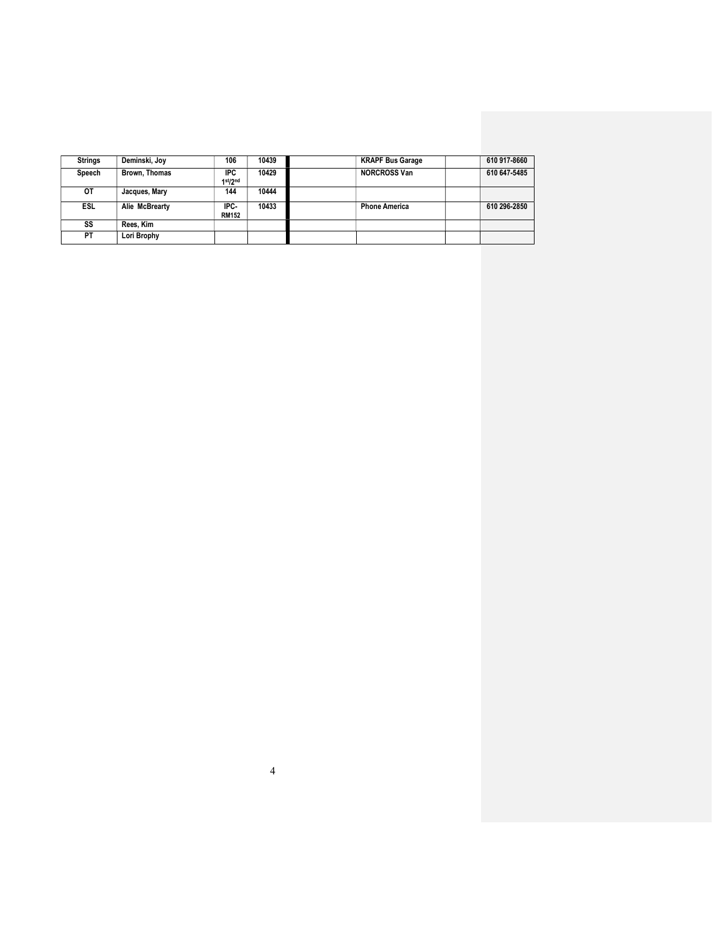| <b>Strings</b> | Deminski, Joy  | 106                  | 10439 | <b>KRAPF Bus Garage</b> | 610 917-8660 |
|----------------|----------------|----------------------|-------|-------------------------|--------------|
| Speech         | Brown, Thomas  | IPC<br>1st/2nd       | 10429 | <b>NORCROSS Van</b>     | 610 647-5485 |
| OТ             | Jacques, Mary  | 144                  | 10444 |                         |              |
| <b>ESL</b>     | Alie McBrearty | IPC-<br><b>RM152</b> | 10433 | <b>Phone America</b>    | 610 296-2850 |
| SS             | Rees. Kim      |                      |       |                         |              |
| <b>PT</b>      | Lori Brophy    |                      |       |                         |              |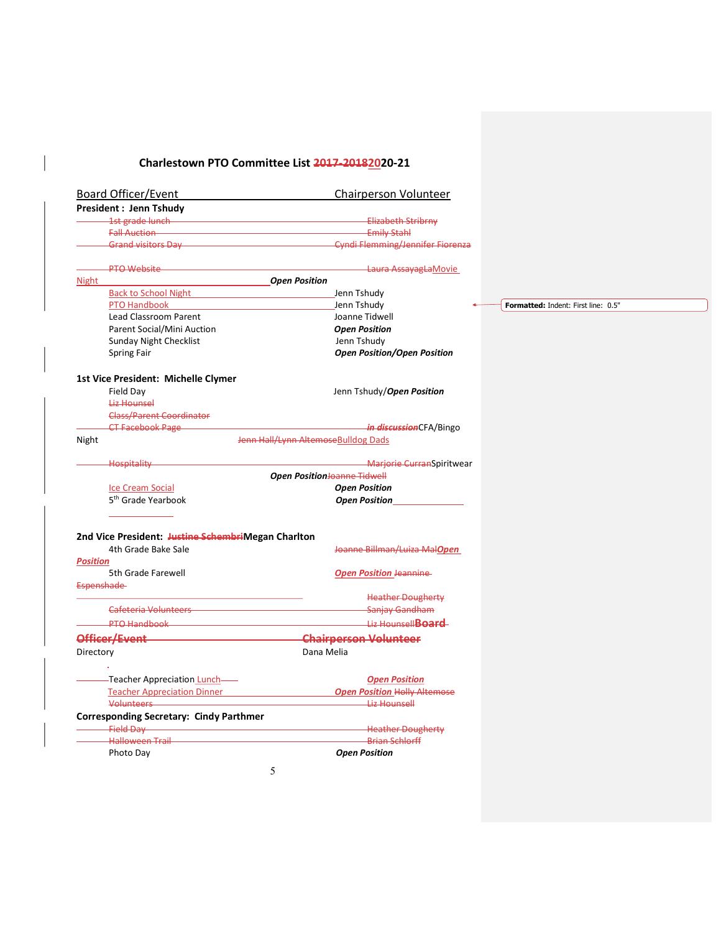# Charlestown PTO Committee List 2017-20182020-21

| <b>Board Officer/Event</b>                                                                                              | Chairperson Volunteer                                                    |
|-------------------------------------------------------------------------------------------------------------------------|--------------------------------------------------------------------------|
| President: Jenn Tshudy                                                                                                  |                                                                          |
| and the state of the state of the state of the state of the state of the state of the state of the state of the         | <b>Elizabeth Stribrny</b>                                                |
| Fall Auction <b>Contract Contract Contract Contract Contract Contract Contract Contract Contract Contract Contract</b>  | <b>Emily Stahl</b>                                                       |
|                                                                                                                         | Grand visitors Day <b>Communication</b> Cyndi Flemming/Jennifer Fiorenza |
| <b>PTO Website</b>                                                                                                      | Laura AssayagLaMovie                                                     |
| <b>Night</b>                                                                                                            | <b>Open Position</b>                                                     |
| <b>Back to School Night</b>                                                                                             | Jenn Tshudy                                                              |
| PTO Handbook                                                                                                            | Jenn Tshudy                                                              |
| Lead Classroom Parent                                                                                                   | Joanne Tidwell                                                           |
| Parent Social/Mini Auction                                                                                              | <b>Open Position</b>                                                     |
| <b>Sunday Night Checklist</b>                                                                                           | Jenn Tshudy                                                              |
| <b>Spring Fair</b>                                                                                                      | <b>Open Position/Open Position</b>                                       |
| 1st Vice President: Michelle Clymer                                                                                     |                                                                          |
| Field Day                                                                                                               | Jenn Tshudy/Open Position                                                |
| <b>Liz Hounsel</b>                                                                                                      |                                                                          |
| <b>Class/Parent Coordinator</b>                                                                                         |                                                                          |
| <b>CT Facebook Page</b>                                                                                                 | <i>in discussion</i> CFA/Bingo                                           |
| Night                                                                                                                   | Jenn Hall/Lynn AltemoseBulldog Dads                                      |
|                                                                                                                         |                                                                          |
| <b>Hospitality</b>                                                                                                      | -Marjorie CurranSpiritwear<br>Open PositionJoanne Tidwell                |
| <b>Ice Cream Social</b>                                                                                                 | <b>Open Position</b>                                                     |
| 5 <sup>th</sup> Grade Yearbook                                                                                          | <b>Open Position</b>                                                     |
|                                                                                                                         |                                                                          |
| 2nd Vice President: Justine SchembriMegan Charlton                                                                      |                                                                          |
| 4th Grade Bake Sale                                                                                                     | Joanne Billman/Luiza MalOpen                                             |
| <b>Position</b>                                                                                                         |                                                                          |
| 5th Grade Farewell                                                                                                      | <b>Open Position Jeannine</b>                                            |
| <b>Espenshade</b>                                                                                                       |                                                                          |
|                                                                                                                         | <b>Heather Dougherty</b>                                                 |
| Cafeteria Volunteers <b>Care and Care and Care and Care and Care and Care and Care and Care and Care and Care and C</b> | Sanjay Gandham                                                           |
| <b>PTO Handbook</b>                                                                                                     | Liz Hounsell <b>Board</b>                                                |
| Officer/Event                                                                                                           | <b>Chairperson Volunteer</b>                                             |
| Directory                                                                                                               | Dana Melia                                                               |
|                                                                                                                         |                                                                          |
| -Teacher Appreciation Lunch-                                                                                            | <b>Open Position</b>                                                     |
| Teacher Appreciation Dinner<br>Teacher Appreciation Dinner                                                              | <b>Open Position Holly Altemose</b>                                      |
| Volunteers                                                                                                              | <b>Liz Hounsell</b>                                                      |
| <b>Corresponding Secretary: Cindy Parthmer</b>                                                                          |                                                                          |
| <b>Field Day</b>                                                                                                        | <b>Heather Dougherty</b>                                                 |
| <b>Halloween Trail</b>                                                                                                  | <b>Brian Schlorff</b>                                                    |
| Photo Day                                                                                                               | <b>Open Position</b>                                                     |
|                                                                                                                         | 5                                                                        |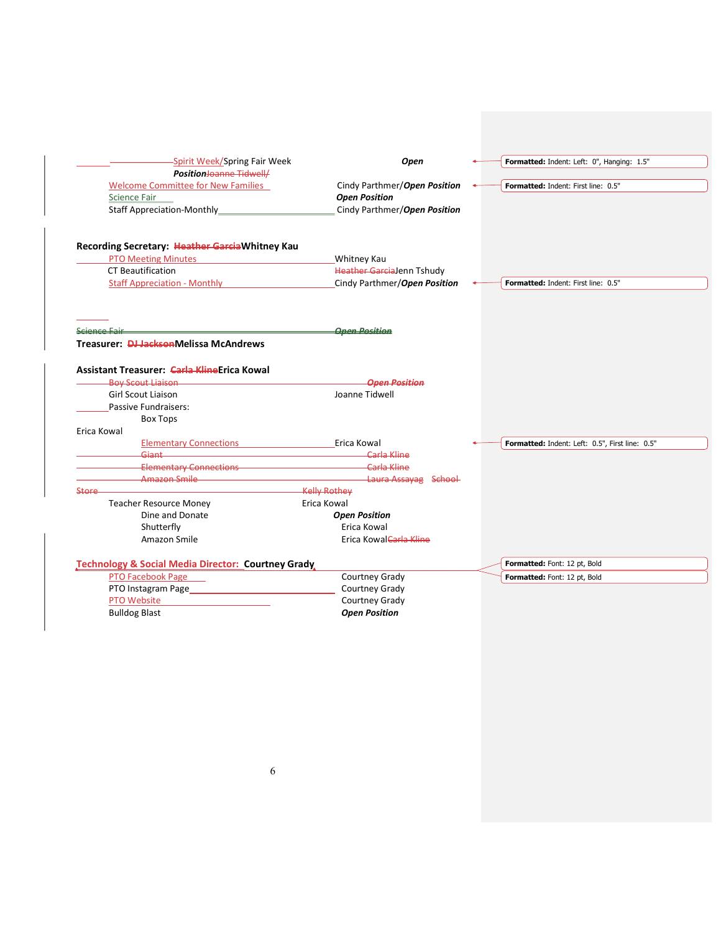| -Spirit Week/Spring Fair Week                        | Open                         | Formatted: Indent: Left: 0", Hanging: 1.5"      |
|------------------------------------------------------|------------------------------|-------------------------------------------------|
| <b>Position</b> Joanne Tidwell/                      |                              |                                                 |
| <b>Welcome Committee for New Families</b>            | Cindy Parthmer/Open Position | Formatted: Indent: First line: 0.5"             |
| Science Fair                                         | <b>Open Position</b>         |                                                 |
| Staff Appreciation-Monthly_                          | Cindy Parthmer/Open Position |                                                 |
| Recording Secretary: Heather Garcia Whitney Kau      |                              |                                                 |
| <b>PTO Meeting Minutes</b>                           | Whitney Kau                  |                                                 |
| CT Beautification                                    | Heather GarciaJenn Tshudy    |                                                 |
| <b>Staff Appreciation - Monthly</b>                  | Cindy Parthmer/Open Position | Formatted: Indent: First line: 0.5"             |
|                                                      |                              |                                                 |
| <u> Science Fair</u>                                 | <b>Open Position</b>         |                                                 |
| Treasurer: <b>DJ Jackson</b> Melissa McAndrews       |                              |                                                 |
| Assistant Treasurer: Carla KlineErica Kowal          |                              |                                                 |
| <b>Boy Scout Liaison</b>                             | <b>Open Position</b>         |                                                 |
| <b>Girl Scout Liaison</b>                            | Joanne Tidwell               |                                                 |
| Passive Fundraisers:                                 |                              |                                                 |
| <b>Box Tops</b>                                      |                              |                                                 |
| Erica Kowal                                          |                              |                                                 |
| <b>Elementary Connections</b>                        | Erica Kowal                  | Formatted: Indent: Left: 0.5", First line: 0.5" |
| <b>Giant</b> 2007                                    | Carla Kline                  |                                                 |
| Elementary Connections <b>Elementary Connections</b> | Carla Kline                  |                                                 |
| Amazon Smile                                         | Laura Assayag School         |                                                 |
| Store                                                | <b>Kelly Rothey</b>          |                                                 |
| <b>Teacher Resource Money</b>                        | Erica Kowal                  |                                                 |
| Dine and Donate                                      | <b>Open Position</b>         |                                                 |
| Shutterfly                                           | Erica Kowal                  |                                                 |
| Amazon Smile                                         | Erica Kowal Carla Kline      |                                                 |
| Technology & Social Media Director: Courtney Grady   |                              | Formatted: Font: 12 pt, Bold                    |
| <b>PTO Facebook Page</b>                             | Courtney Grady               | Formatted: Font: 12 pt, Bold                    |
| PTO Instagram Page                                   | Courtney Grady               |                                                 |
| PTO Website                                          | Courtney Grady               |                                                 |
| <b>Bulldog Blast</b>                                 | <b>Open Position</b>         |                                                 |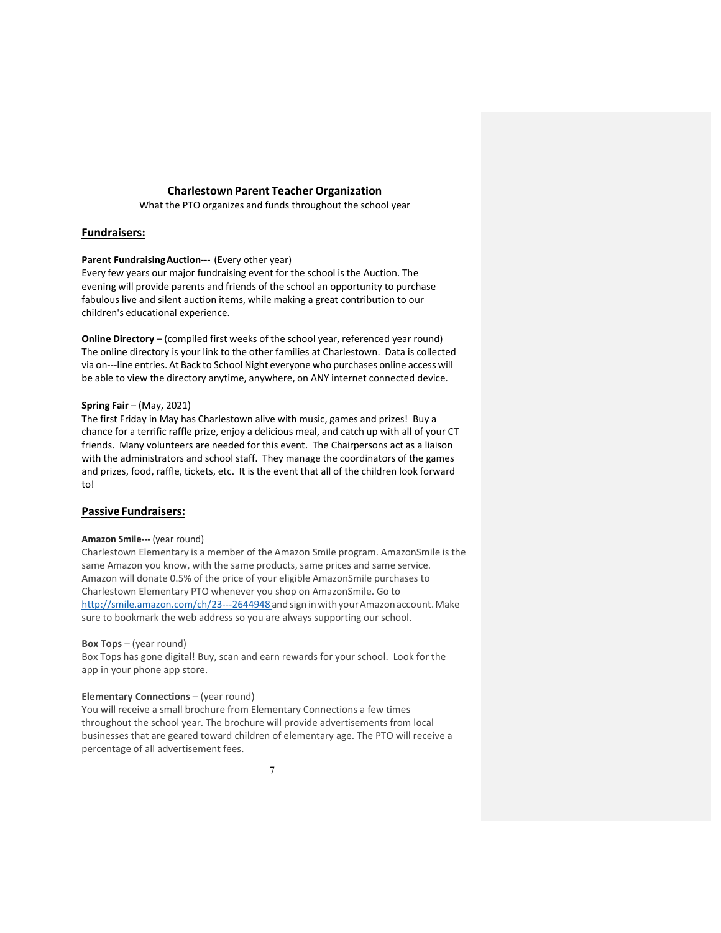# Charlestown Parent Teacher Organization

What the PTO organizes and funds throughout the school year

# Fundraisers:

# Parent Fundraising Auction--- (Every other year)

Every few years our major fundraising event for the school is the Auction. The evening will provide parents and friends of the school an opportunity to purchase fabulous live and silent auction items, while making a great contribution to our children's educational experience.

Online Directory – (compiled first weeks of the school year, referenced year round) The online directory is your link to the other families at Charlestown. Data is collected via on---line entries. At Back to School Night everyone who purchases online access will be able to view the directory anytime, anywhere, on ANY internet connected device.

# Spring Fair – (May, 2021)

The first Friday in May has Charlestown alive with music, games and prizes! Buy a chance for a terrific raffle prize, enjoy a delicious meal, and catch up with all of your CT friends. Many volunteers are needed for this event. The Chairpersons act as a liaison with the administrators and school staff. They manage the coordinators of the games and prizes, food, raffle, tickets, etc. It is the event that all of the children look forward to!

# Passive Fundraisers:

# Amazon Smile--- (year round)

Charlestown Elementary is a member of the Amazon Smile program. AmazonSmile is the same Amazon you know, with the same products, same prices and same service. Amazon will donate 0.5% of the price of your eligible AmazonSmile purchases to Charlestown Elementary PTO whenever you shop on AmazonSmile. Go to http://smile.amazon.com/ch/23---2644948 and sign in with your Amazon account. Make sure to bookmark the web address so you are always supporting our school.

# Box Tops – (year round)

Box Tops has gone digital! Buy, scan and earn rewards for your school. Look for the app in your phone app store.

# Elementary Connections – (year round)

You will receive a small brochure from Elementary Connections a few times throughout the school year. The brochure will provide advertisements from local businesses that are geared toward children of elementary age. The PTO will receive a percentage of all advertisement fees.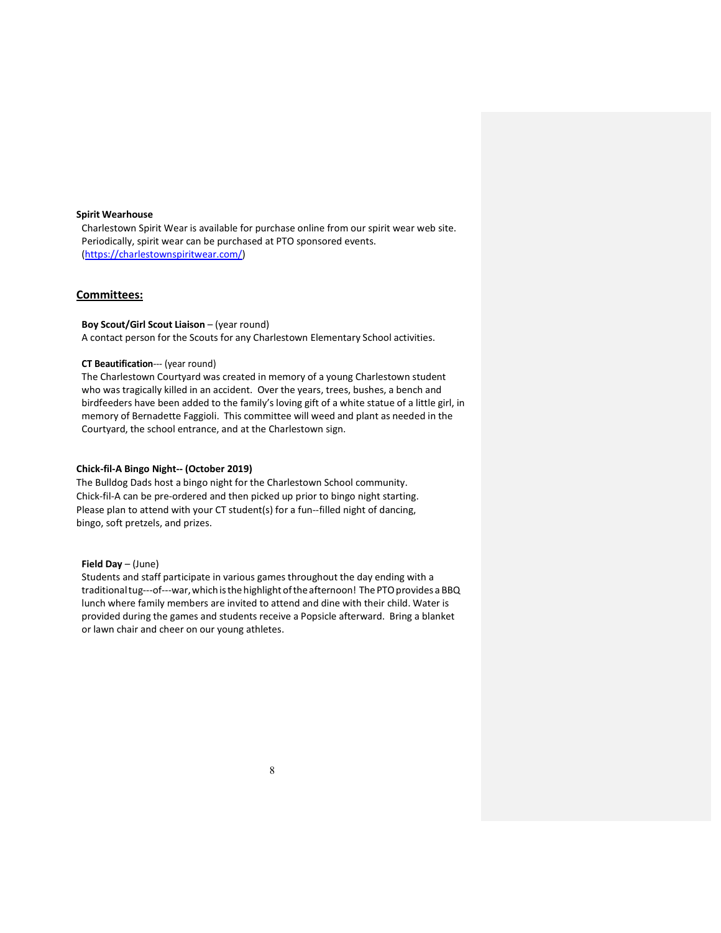# Spirit Wearhouse

Charlestown Spirit Wear is available for purchase online from our spirit wear web site. Periodically, spirit wear can be purchased at PTO sponsored events. (https://charlestownspiritwear.com/)

# Committees:

# Boy Scout/Girl Scout Liaison – (year round)

A contact person for the Scouts for any Charlestown Elementary School activities.

# CT Beautification--- (year round)

The Charlestown Courtyard was created in memory of a young Charlestown student who was tragically killed in an accident. Over the years, trees, bushes, a bench and birdfeeders have been added to the family's loving gift of a white statue of a little girl, in memory of Bernadette Faggioli. This committee will weed and plant as needed in the Courtyard, the school entrance, and at the Charlestown sign.

# Chick-fil-A Bingo Night-- (October 2019)

The Bulldog Dads host a bingo night for the Charlestown School community. Chick-fil-A can be pre-ordered and then picked up prior to bingo night starting. Please plan to attend with your CT student(s) for a fun--filled night of dancing, bingo, soft pretzels, and prizes.

# Field Day – (June)

Students and staff participate in various games throughout the day ending with a traditional tug---of---war, which is the highlight of the afternoon! The PTO provides a BBQ lunch where family members are invited to attend and dine with their child. Water is provided during the games and students receive a Popsicle afterward. Bring a blanket or lawn chair and cheer on our young athletes.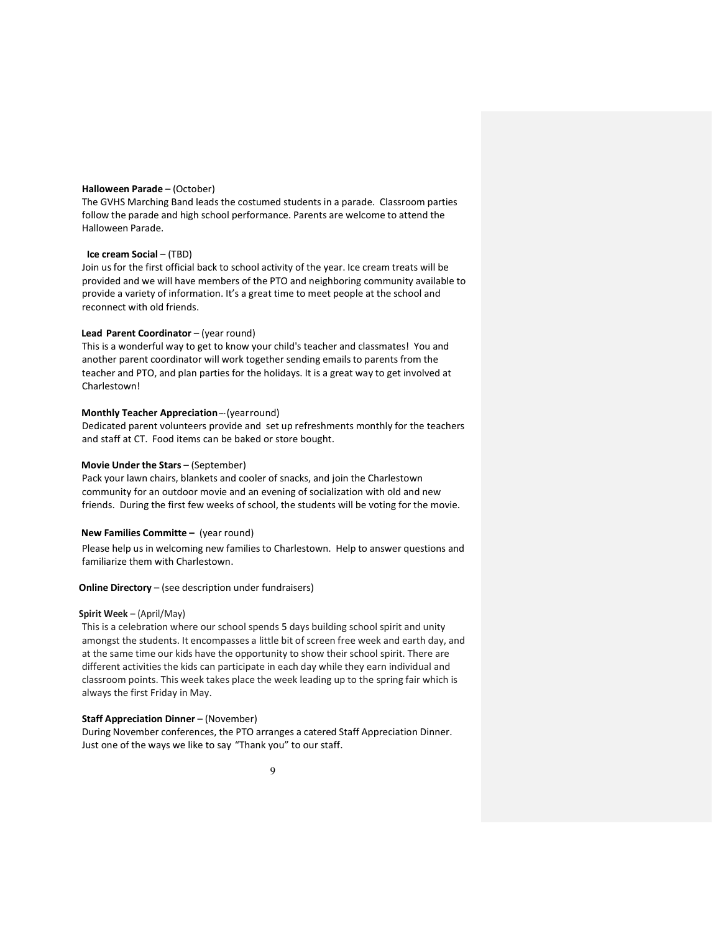# Halloween Parade – (October)

The GVHS Marching Band leads the costumed students in a parade. Classroom parties follow the parade and high school performance. Parents are welcome to attend the Halloween Parade.

### Ice cream Social – (TBD)

Join us for the first official back to school activity of the year. Ice cream treats will be provided and we will have members of the PTO and neighboring community available to provide a variety of information. It's a great time to meet people at the school and reconnect with old friends.

### Lead Parent Coordinator – (year round)

This is a wonderful way to get to know your child's teacher and classmates! You and another parent coordinator will work together sending emails to parents from the teacher and PTO, and plan parties for the holidays. It is a great way to get involved at Charlestown!

# Monthly Teacher Appreciation --- (year round)

Dedicated parent volunteers provide and set up refreshments monthly for the teachers and staff at CT. Food items can be baked or store bought.

# Movie Under the Stars – (September)

Pack your lawn chairs, blankets and cooler of snacks, and join the Charlestown community for an outdoor movie and an evening of socialization with old and new friends. During the first few weeks of school, the students will be voting for the movie.

### New Families Committe – (year round)

Please help us in welcoming new families to Charlestown. Help to answer questions and familiarize them with Charlestown.

# Online Directory – (see description under fundraisers)

# Spirit Week – (April/May)

This is a celebration where our school spends 5 days building school spirit and unity amongst the students. It encompasses a little bit of screen free week and earth day, and at the same time our kids have the opportunity to show their school spirit. There are different activities the kids can participate in each day while they earn individual and classroom points. This week takes place the week leading up to the spring fair which is always the first Friday in May.

# Staff Appreciation Dinner – (November)

During November conferences, the PTO arranges a catered Staff Appreciation Dinner. Just one of the ways we like to say "Thank you" to our staff.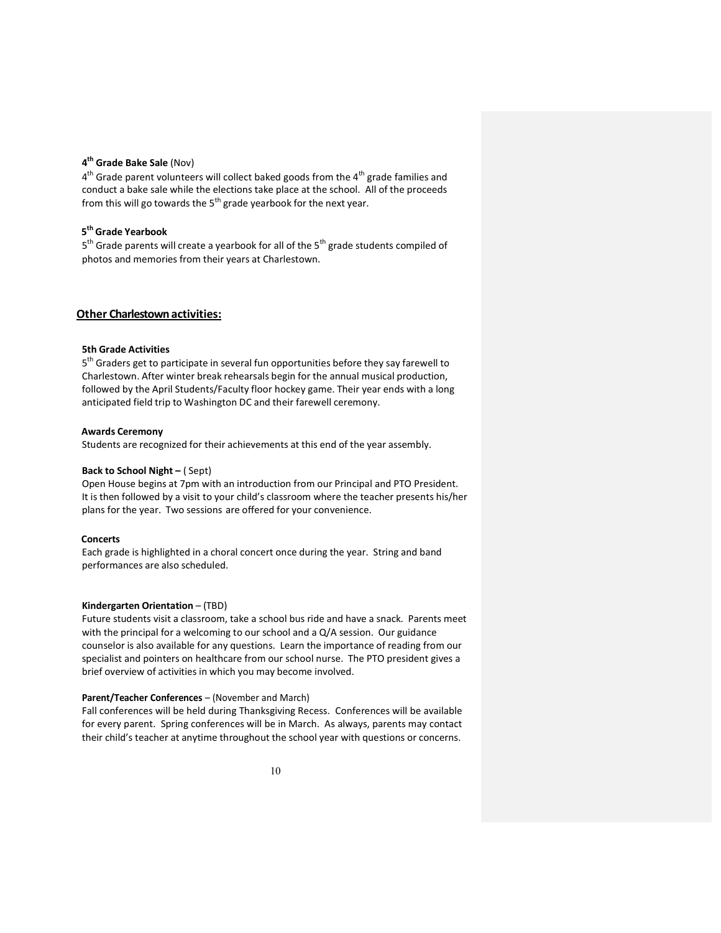# 4<sup>th</sup> Grade Bake Sale (Nov)

4<sup>th</sup> Grade parent volunteers will collect baked goods from the 4<sup>th</sup> grade families and conduct a bake sale while the elections take place at the school. All of the proceeds from this will go towards the  $5<sup>th</sup>$  grade yearbook for the next year.

# 5<sup>th</sup> Grade Yearbook

5<sup>th</sup> Grade parents will create a yearbook for all of the 5<sup>th</sup> grade students compiled of photos and memories from their years at Charlestown.

# Other Charlestown activities:

# 5th Grade Activities

5<sup>th</sup> Graders get to participate in several fun opportunities before they say farewell to Charlestown. After winter break rehearsals begin for the annual musical production, followed by the April Students/Faculty floor hockey game. Their year ends with a long anticipated field trip to Washington DC and their farewell ceremony.

#### Awards Ceremony

Students are recognized for their achievements at this end of the year assembly.

# Back to School Night – ( Sept)

Open House begins at 7pm with an introduction from our Principal and PTO President. It is then followed by a visit to your child's classroom where the teacher presents his/her plans for the year. Two sessions are offered for your convenience.

# **Concerts**

Each grade is highlighted in a choral concert once during the year. String and band performances are also scheduled.

# Kindergarten Orientation – (TBD)

Future students visit a classroom, take a school bus ride and have a snack. Parents meet with the principal for a welcoming to our school and a Q/A session. Our guidance counselor is also available for any questions. Learn the importance of reading from our specialist and pointers on healthcare from our school nurse. The PTO president gives a brief overview of activities in which you may become involved.

# Parent/Teacher Conferences – (November and March)

Fall conferences will be held during Thanksgiving Recess. Conferences will be available for every parent. Spring conferences will be in March. As always, parents may contact their child's teacher at anytime throughout the school year with questions or concerns.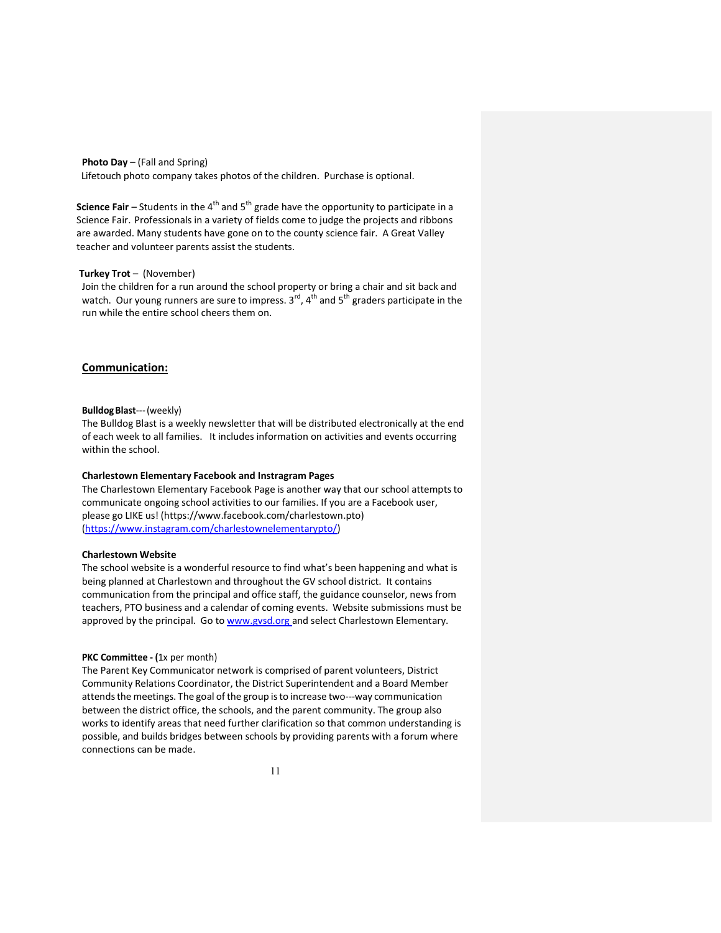Photo Day – (Fall and Spring)

Lifetouch photo company takes photos of the children. Purchase is optional.

Science Fair – Students in the  $4<sup>th</sup>$  and  $5<sup>th</sup>$  grade have the opportunity to participate in a Science Fair. Professionals in a variety of fields come to judge the projects and ribbons are awarded. Many students have gone on to the county science fair. A Great Valley teacher and volunteer parents assist the students.

# Turkey Trot – (November)

Join the children for a run around the school property or bring a chair and sit back and watch. Our young runners are sure to impress.  $3<sup>rd</sup>$ , 4<sup>th</sup> and  $5<sup>th</sup>$  graders participate in the run while the entire school cheers them on.

# Communication:

### Bulldog Blast--- (weekly)

The Bulldog Blast is a weekly newsletter that will be distributed electronically at the end of each week to all families. It includes information on activities and events occurring within the school.

#### Charlestown Elementary Facebook and Instragram Pages

The Charlestown Elementary Facebook Page is another way that our school attempts to communicate ongoing school activities to our families. If you are a Facebook user, please go LIKE us! (https://www.facebook.com/charlestown.pto) (https://www.instagram.com/charlestownelementarypto/)

# Charlestown Website

The school website is a wonderful resource to find what's been happening and what is being planned at Charlestown and throughout the GV school district. It contains communication from the principal and office staff, the guidance counselor, news from teachers, PTO business and a calendar of coming events. Website submissions must be approved by the principal. Go to www.gvsd.org and select Charlestown Elementary.

#### PKC Committee - (1x per month)

The Parent Key Communicator network is comprised of parent volunteers, District Community Relations Coordinator, the District Superintendent and a Board Member attends the meetings. The goal of the group is to increase two---way communication between the district office, the schools, and the parent community. The group also works to identify areas that need further clarification so that common understanding is possible, and builds bridges between schools by providing parents with a forum where connections can be made.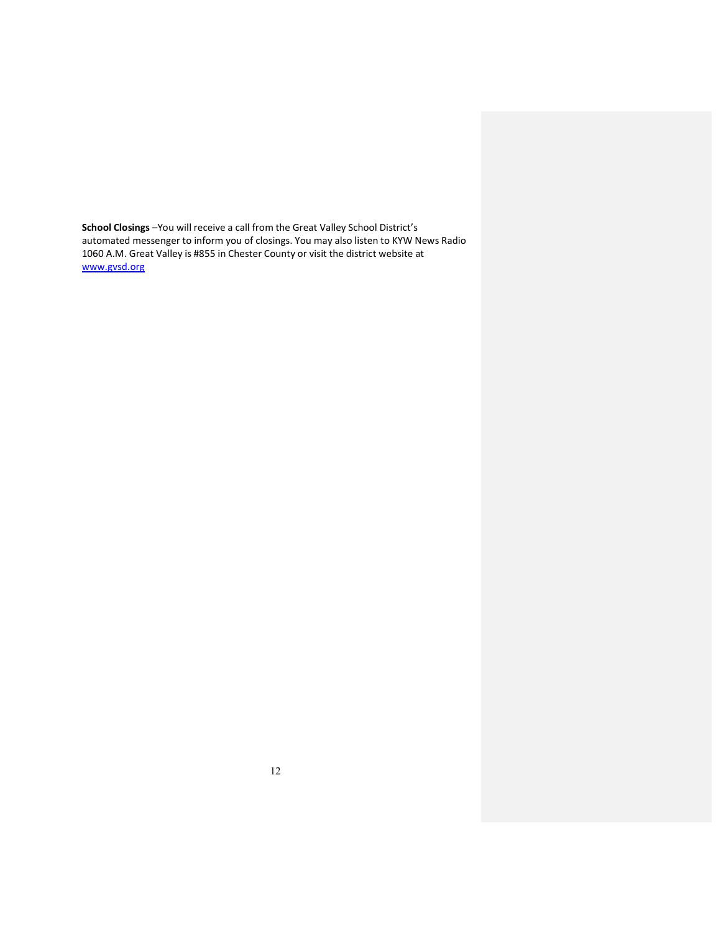School Closings -You will receive a call from the Great Valley School District's automated messenger to inform you of closings. You may also listen to KYW News Radio 1060 A.M. Great Valley is #855 in Chester County or visit the district website at www.gvsd.org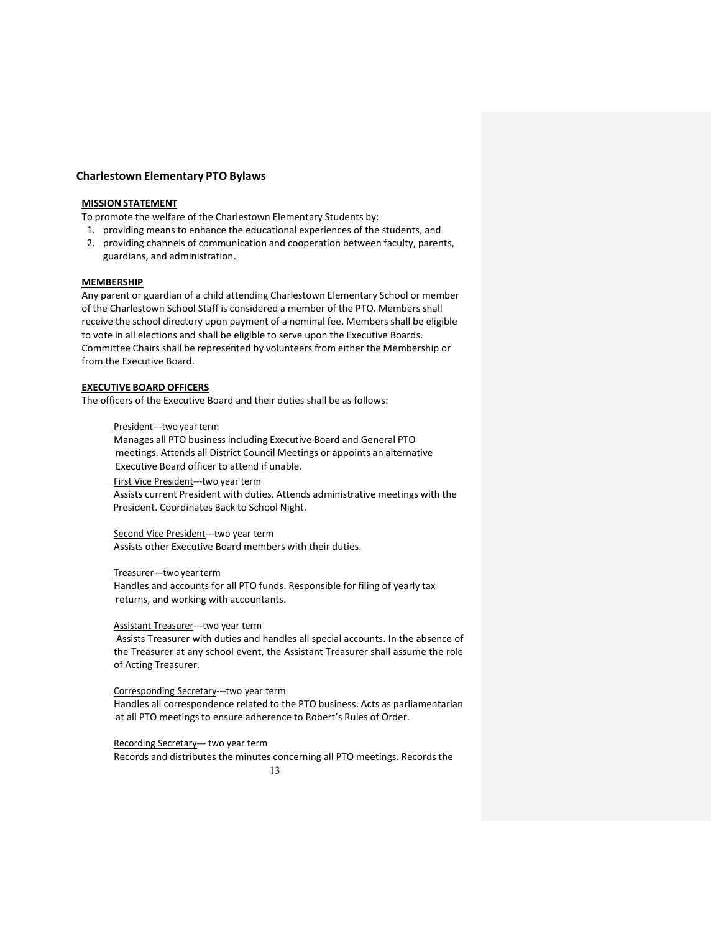# Charlestown Elementary PTO Bylaws

# MISSION STATEMENT

To promote the welfare of the Charlestown Elementary Students by:

- 1. providing means to enhance the educational experiences of the students, and
- 2. providing channels of communication and cooperation between faculty, parents, guardians, and administration.

### **MEMBERSHIP**

Any parent or guardian of a child attending Charlestown Elementary School or member of the Charlestown School Staff is considered a member of the PTO. Members shall receive the school directory upon payment of a nominal fee. Members shall be eligible to vote in all elections and shall be eligible to serve upon the Executive Boards. Committee Chairs shall be represented by volunteers from either the Membership or from the Executive Board.

# EXECUTIVE BOARD OFFICERS

The officers of the Executive Board and their duties shall be as follows:

### President---two year term

Manages all PTO business including Executive Board and General PTO meetings. Attends all District Council Meetings or appoints an alternative Executive Board officer to attend if unable.

First Vice President---two year term

Assists current President with duties. Attends administrative meetings with the President. Coordinates Back to School Night.

#### Second Vice President---two year term

Assists other Executive Board members with their duties.

# Treasurer---two year term

Handles and accounts for all PTO funds. Responsible for filing of yearly tax returns, and working with accountants.

# Assistant Treasurer---two year term

Assists Treasurer with duties and handles all special accounts. In the absence of the Treasurer at any school event, the Assistant Treasurer shall assume the role of Acting Treasurer.

# Corresponding Secretary---two year term

Handles all correspondence related to the PTO business. Acts as parliamentarian at all PTO meetings to ensure adherence to Robert's Rules of Order.

# Recording Secretary--- two year term

13 Records and distributes the minutes concerning all PTO meetings. Records the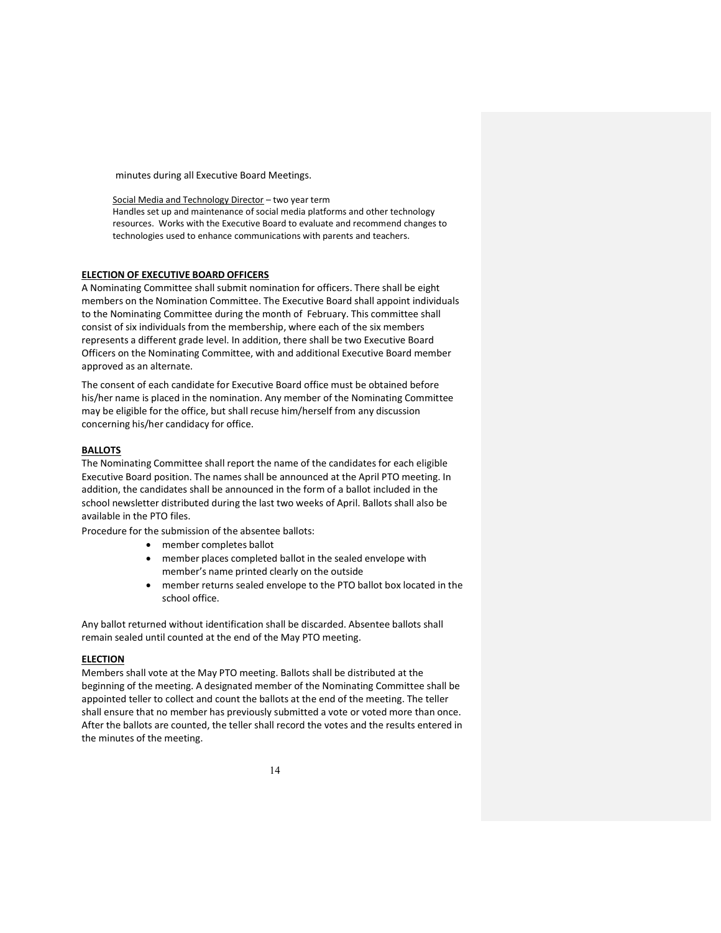minutes during all Executive Board Meetings.

Social Media and Technology Director – two year term Handles set up and maintenance of social media platforms and other technology resources. Works with the Executive Board to evaluate and recommend changes to technologies used to enhance communications with parents and teachers.

# ELECTION OF EXECUTIVE BOARD OFFICERS

A Nominating Committee shall submit nomination for officers. There shall be eight members on the Nomination Committee. The Executive Board shall appoint individuals to the Nominating Committee during the month of February. This committee shall consist of six individuals from the membership, where each of the six members represents a different grade level. In addition, there shall be two Executive Board Officers on the Nominating Committee, with and additional Executive Board member approved as an alternate.

The consent of each candidate for Executive Board office must be obtained before his/her name is placed in the nomination. Any member of the Nominating Committee may be eligible for the office, but shall recuse him/herself from any discussion concerning his/her candidacy for office.

# BALLOTS

The Nominating Committee shall report the name of the candidates for each eligible Executive Board position. The names shall be announced at the April PTO meeting. In addition, the candidates shall be announced in the form of a ballot included in the school newsletter distributed during the last two weeks of April. Ballots shall also be available in the PTO files.

Procedure for the submission of the absentee ballots:

- member completes ballot
- member places completed ballot in the sealed envelope with member's name printed clearly on the outside
- member returns sealed envelope to the PTO ballot box located in the school office.

Any ballot returned without identification shall be discarded. Absentee ballots shall remain sealed until counted at the end of the May PTO meeting.

# ELECTION

Members shall vote at the May PTO meeting. Ballots shall be distributed at the beginning of the meeting. A designated member of the Nominating Committee shall be appointed teller to collect and count the ballots at the end of the meeting. The teller shall ensure that no member has previously submitted a vote or voted more than once. After the ballots are counted, the teller shall record the votes and the results entered in the minutes of the meeting.